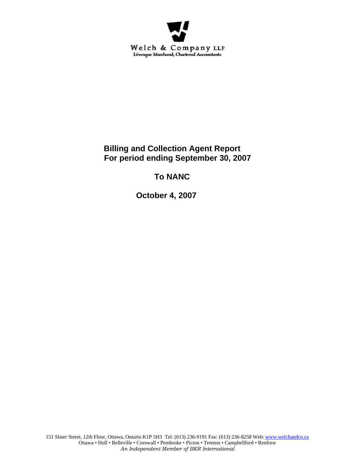

# **Billing and Collection Agent Report For period ending September 30, 2007**

# **To NANC**

 **October 4, 2007**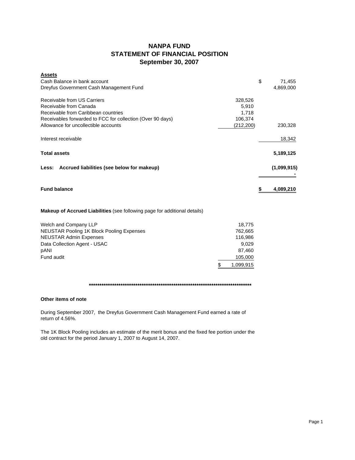## **NANPA FUND STATEMENT OF FINANCIAL POSITION September 30, 2007**

| <b>Assets</b>                                                             |           |    |             |
|---------------------------------------------------------------------------|-----------|----|-------------|
| Cash Balance in bank account                                              |           | \$ | 71,455      |
| Dreyfus Government Cash Management Fund                                   |           |    | 4,869,000   |
| Receivable from US Carriers                                               | 328,526   |    |             |
| Receivable from Canada                                                    | 5,910     |    |             |
| Receivable from Caribbean countries                                       | 1,718     |    |             |
| Receivables forwarded to FCC for collection (Over 90 days)                | 106,374   |    |             |
| Allowance for uncollectible accounts                                      | (212,200) |    | 230,328     |
| Interest receivable                                                       |           |    | 18,342      |
| <b>Total assets</b>                                                       |           |    | 5,189,125   |
| Less: Accrued liabilities (see below for makeup)                          |           |    | (1,099,915) |
| <b>Fund balance</b>                                                       |           | S  | 4,089,210   |
| Makeup of Accrued Liabilities (see following page for additional details) |           |    |             |

| Welch and Company LLP                     | 18.775    |
|-------------------------------------------|-----------|
| NEUSTAR Pooling 1K Block Pooling Expenses | 762.665   |
| <b>NEUSTAR Admin Expenses</b>             | 116.986   |
| Data Collection Agent - USAC              | 9.029     |
| pANI                                      | 87.460    |
| Fund audit                                | 105,000   |
|                                           | 1.099.915 |

## **\*\*\*\*\*\*\*\*\*\*\*\*\*\*\*\*\*\*\*\*\*\*\*\*\*\*\*\*\*\*\*\*\*\*\*\*\*\*\*\*\*\*\*\*\*\*\*\*\*\*\*\*\*\*\*\*\*\*\*\*\*\*\*\*\*\*\*\*\*\*\*\*\*\*\*\*\***

## **Other items of note**

During September 2007, the Dreyfus Government Cash Management Fund earned a rate of return of 4.56%.

The 1K Block Pooling includes an estimate of the merit bonus and the fixed fee portion under the old contract for the period January 1, 2007 to August 14, 2007.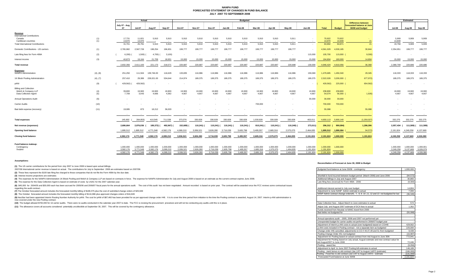#### **NANPA FUND FORECASTED STATEMENT OF CHANGES IN FUND BALANCEJULY 2007 TO SEPTEMBER 2008**

|                                                                                |            | Actual                              |                                     |                                     |                                     | <b>Budgeted</b>                     |                                     |                                     |                                     |                                     |                                     |                                     |                                     |                                     |                                     |                        |                                                                             |                                     |                                 | <b>Estimated</b>                    |                                     |
|--------------------------------------------------------------------------------|------------|-------------------------------------|-------------------------------------|-------------------------------------|-------------------------------------|-------------------------------------|-------------------------------------|-------------------------------------|-------------------------------------|-------------------------------------|-------------------------------------|-------------------------------------|-------------------------------------|-------------------------------------|-------------------------------------|------------------------|-----------------------------------------------------------------------------|-------------------------------------|---------------------------------|-------------------------------------|-------------------------------------|
|                                                                                |            | July 07 - Aug<br>07                 | <b>Jul-07</b>                       | Aug-07                              | Sep-07                              | Oct-07                              | <b>Nov-07</b>                       | Dec-07                              | Jan-08                              | Feb-08                              | Mar-08                              | Apr-08                              | May-08                              | <b>Jun-08</b>                       | Total                               | <b>Budget</b>          | <b>Difference between</b><br>forecasted balance at June<br>30/08 and budget | <b>Jul-08</b>                       |                                 | Aug-08                              | Sep-08                              |
| Revenue<br><b>International Contributions</b><br>Canada<br>Caribbean countries | (1)<br>(1) | 17,731<br>13,970                    | 11,821<br>13,970                    | 5,910                               | 5,910<br>$\overline{\phantom{a}}$   | 5,910<br>$\sim$                     | 5,910                               | 5,910<br>$\sim$                     | 5,910<br>$\sim$                     | 5,910                               | 5,910<br>$\sim$                     | 5,910                               | 5,911<br>$\sim$ $\sim$              |                                     | 70,922<br>13,970                    | 70,922<br>13,949       | 21                                                                          |                                     | 5,909<br>13,849                 | 5,909<br>$\sim$                     | 5,909<br>$\sim$ $\sim$              |
| <b>Total International Contributions</b>                                       |            | 31,701                              | 25,791                              | 5,910                               | 5,910                               | 5,910                               | 5,910                               | 5,910                               | 5,910                               | 5,910                               | 5,910                               | 5,910                               | 5,911                               |                                     | 84,892                              | 84,871                 | 21                                                                          |                                     | 19,758                          | 5,909                               | 5,909                               |
| Domestic Contributions - US carriers                                           | (1)        | 2,765,982                           | 2,567,728                           | 198,254                             | 196.831                             | 199,777                             | 199,777                             | 199,777                             | 199,777                             | 199,777                             | 199,777                             | 199,777                             | 199,777                             |                                     | 4.561.029                           | 4.530.185              | 30,844                                                                      | 2,354,951                           |                                 | 199,777                             | 199,777                             |
| Late filing fees for Form 499A                                                 | (2)        | 6,200                               | 1,500)                              | 4,700)                              | 3,100                               |                                     |                                     |                                     |                                     |                                     |                                     |                                     | $\sim$                              | 115,000                             | 105,700                             | 115,000                | 9,300                                                                       |                                     |                                 |                                     | . .                                 |
| nterest income                                                                 | (3)        | 40.873                              | 19.164                              | 21,709                              | 18,931                              | 15,000                              | 15,000                              | 15,000                              | 15,000                              | 15,000                              | 15,000                              | 15,000                              | 15,000                              | 15,000                              | 194.804                             | 180,000                | 14,804                                                                      |                                     | 15,000                          | 15,000                              | 15,000                              |
| <b>Total revenue</b>                                                           |            | 2.832.356                           | 2.611.183                           | 221.173                             | 218,571                             | 220,687                             | 220.687                             | 220.687                             | 220,687                             | 220.687                             | 220.687                             | 220,687                             | 220,688                             | 130,000                             | 4.946.424                           | 4,910,056              | 36,368                                                                      | 2.389.709                           |                                 | 220,686                             | 220,686                             |
| <b>Expenses</b><br>NANPA Administration                                        | (4), (8)   | 251,250                             | 111.504                             | 139,746.00                          | 116,629                             | 133,835                             | 116,986                             | 116,986                             | 116,986                             | 116,986                             | 116,986                             | 116,986                             | 116,986                             | 159,069                             | 1,479,685                           | 1,450,340              | 29,345                                                                      |                                     | 118.333                         | 118,333                             | 118,333                             |
| 1K Block Pooling Administration                                                | (4), (7)   | 257,410                             | 29,389                              | 228.021.00                          | 534.644                             | 214,974                             | 189,375                             | 189.375                             | 189,375                             | 189,375                             | 189.375                             | 189.375                             | 189,375                             | 189,375                             | 2,522,028                           | 3,200,000              | 677,972)                                                                    |                                     | 189,375                         | 189.375                             | 189,375                             |
| pANI                                                                           | (9)        | 429,562)                            | 429,562)                            |                                     |                                     |                                     | $\sim$                              |                                     |                                     | $\sim$                              |                                     |                                     | $\sim$                              |                                     | 429,562)                            | 225,000 (              | 654,562)                                                                    |                                     |                                 |                                     | <b>.</b>                            |
| <b>Billing and Collection</b><br>Welch & Company LLP<br>Data Collection Agent  | (4)<br>(5) | 39,800<br>7,709                     | 19,900<br>3,043                     | 19,900<br>4,666                     | 19,900<br>4,362                     | 19,900<br>4,667                     | 19,900<br>4.667                     | 19,900<br>4,667                     | 19,900<br>4,667                     | 19,900<br>4.667                     | 19,900<br>4,667                     | 19,900<br>4.667                     | 19,900<br>4,667                     | 19,900<br>4,667                     | 238,800<br>54,074                   | 238,800<br>56,000      | 1,926                                                                       |                                     | 19,900<br>4,667                 | 19,900<br>4.667                     | 19,900<br>4,667                     |
| <b>Annual Operations Audit</b>                                                 | (6)        | $\sim$                              |                                     |                                     |                                     |                                     |                                     |                                     |                                     |                                     |                                     |                                     | $\sim$                              | 30,000                              | 30,000                              | 30,000                 |                                                                             |                                     |                                 |                                     | $\sim$                              |
| <b>Carrier Audits</b>                                                          | (10)       |                                     |                                     |                                     |                                     |                                     |                                     |                                     |                                     |                                     | 700,000                             |                                     |                                     |                                     | 700,000                             | 700,000                |                                                                             |                                     |                                 |                                     | . .                                 |
| Bad debt expense (recovery)                                                    | (11)       | 19,085                              | 873                                 | 18,212                              | 36,003                              |                                     |                                     |                                     | $\sim$                              | $\sim$                              | $\sim$                              |                                     |                                     |                                     | 55,088                              |                        | 55,088                                                                      |                                     |                                 |                                     | $\sim$                              |
|                                                                                |            |                                     |                                     |                                     |                                     |                                     |                                     |                                     |                                     |                                     |                                     |                                     |                                     |                                     |                                     |                        |                                                                             |                                     |                                 | $\sim$                              |                                     |
| <b>Total expenses</b>                                                          |            | 145,692                             | 264,853)                            | 410.545                             | 711,538                             | 373,376                             | 330,928                             | 330,928                             | 330,928                             | 330,928                             | 1,030,928                           | 330,928                             | 330,928                             | 403,011                             | 4,650,113                           | 5,900,140              | (1,250,027)                                                                 | 332,275                             |                                 | 332,275                             | 332,275                             |
| Net revenue (expenses)                                                         |            | 2,686,664                           | 2,876,036                           | 189,372) (                          | 492,967) (                          | 152,689)                            | 110,241) (                          |                                     | 110,241) ( 110,241) (               | 110,241)                            | 810,241) (                          | 110,241) (                          | 110,240)                            | 273,011)                            | 296,312 (                           | 990,084)               | 1,286,396                                                                   |                                     | 2,057,434 ( 111,589) ( 111,589) |                                     |                                     |
| <b>Opening fund balance</b>                                                    |            | 1,895,512                           | 1,895,512                           | 4.771.548                           | 4,582,176                           | 4,089,210                           | 3,936,521                           | 3,826,280                           | 3,716,039                           | 3,605,798                           | 3,495,557                           | 2,685,316                           | 2,575,075                           | 2,464,835                           | 1,895,512                           | 1,990,084              | 94,572)                                                                     | 2,191,824                           |                                 | 4,249,258                           | 4,137,669                           |
| <b>Closing fund balance</b>                                                    |            | 4,582,176                           | 4,771,548                           | 4,582,176                           | 4,089,210                           | 3,936,521                           | 3,826,280                           | 3,716,039                           | 3,605,798                           | 3,495,557                           | 2,685,316                           | 2,575,075                           | 2,464,835                           | 2,191,824                           | 2,191,824 1,000,000                 |                        | 1,191,824                                                                   | 4,249,258                           |                                 | 4,137,669                           | 4,026,080                           |
| Fund balance makeup:<br>Contingency<br>Surplus                                 |            | 1.000.000<br>3.582.176<br>4,582,176 | 1.000.000<br>3,771,548<br>4,771,548 | 1.000.000<br>3,582,176<br>4,582,176 | 1.000.000<br>3,089,210<br>4,089,210 | 1,000,000<br>2,936,521<br>3,936,521 | 1.000.000<br>2,826,280<br>3,826,280 | 1.000.000<br>2,716,039<br>3,716,039 | 1,000,000<br>2,605,798<br>3,605,798 | 1,000,000<br>2,495,557<br>3,495,557 | 1.000.000<br>1,685,316<br>2,685,316 | 1,000,000<br>1,575,075<br>2,575,075 | 1,000,000<br>1,464,835<br>2,464,835 | 1,000,000<br>1,191,824<br>2,191,824 | 1,000,000<br>1,191,824<br>2,191,824 | 1,000,000<br>1,000,000 |                                                                             | 1.000.000<br>3,249,258<br>4,249,258 |                                 | 1.000.000<br>3,137,669<br>4,137,669 | 1,000,001<br>3,026,079<br>4,026,080 |

#### **Assumptions:**

**(1)** The US carrier contributions for the period from July 2007 to June 2008 is based upon actual billings.

2007/08 International carrier revenue is based on actual. The contributions for July to September 2008 are estimates based on 2007/08.

### **Reconciliation of Forecast at June 30, 2008 to Budget**

| 2007/08 International carrier revenue is based on actual. The contributions for July to September 2008 are estimates based on 2007/08.                                                                                                                                        | Budgeted fund balance at June 30/08 - contingency                                                                      | 1.000.000 |
|-------------------------------------------------------------------------------------------------------------------------------------------------------------------------------------------------------------------------------------------------------------------------------|------------------------------------------------------------------------------------------------------------------------|-----------|
| (2) These fees represent the \$100 late filing fee charged to those companies that do not file the Form 499A by the due date.                                                                                                                                                 |                                                                                                                        |           |
| (3) Interest income projections are estimates                                                                                                                                                                                                                                 | Shortfall in fund incurred between budget period (March 2006) and June 2006                                            | (94, 572) |
| (4) The expenses for the NANPA Administration 1K Block Pooling and Welch & Company LLP are based on contracts in force. The expense for NANPA Administration for July and August 2008 is based on an estimate as the current c                                                | Additional billings in July and August 2007                                                                            | 30,865    |
| (5) The expense for the Data Collection Agent is based on estimate of costs by USAC for the 2007 calendar year.                                                                                                                                                               | Late filing fees (reversal) for Form 499A - 2006                                                                       | (9.300)   |
| (6) \$45,000 for 2004/05 and \$30,000 each has been accrued for 2005/06 and 2006/07 fiscal years for the annual operations audit. The cost of this audit has not been negotiated. Amount recorded is based on prior year. The co<br>regarding the audit contract.             | Additional interest earned in July over budget                                                                         | 14.804    |
| (7) The October forecasted amount includes the forecasted monthly billing of \$189,375 plus the cost of submitted change orders of \$25,599                                                                                                                                   | Adiustment to June NANP Admin estimate to actual                                                                       | 7,000     |
| (8) The October forecasted amount includes the forecasted monthly billing of \$116,986 plus approved changes orders of \$16,849                                                                                                                                               | NANP Admin contract change orders#6, 7, 8, 9, 10, 11, 12 and 13 not budgeted for but                                   | (36.345)  |
| (9) NeuStar had been appointed Interim Routing Number Authority for pANI. The cost for pANI of \$87,460 has been provided for as per approved change order #48. It is to cover the time period from initiation to the time the<br>now covered under the new Pooling contract. |                                                                                                                        |           |
| (10) The budget allowed \$700,000 for 16 carrier audits. There were no audits conducted in the calendar year 2007 to date. The FCC is revising the procurement procedure and will not be conducting any audits until this is in                                               | Data Collection fees - Adiust March to June estimates to actual                                                        | 574       |
| (11) The allowance covers all accounts considered potentially uncollectible at September 30, 2007. This will be covered by the contingency allowance.                                                                                                                         | Adjust July and August 2007 estimate of DCA fees to actual                                                             | 1,352     |
|                                                                                                                                                                                                                                                                               | Funds received from Neustar re NANC travel from 2000                                                                   |           |
|                                                                                                                                                                                                                                                                               | Bad debts not budgeted for                                                                                             | (55.088)  |
|                                                                                                                                                                                                                                                                               |                                                                                                                        |           |
|                                                                                                                                                                                                                                                                               | Annual operations audit - 2005, 2006 and 2007 not performed vet                                                        |           |
|                                                                                                                                                                                                                                                                               | Unexpended budget for carrier audits not performed in 2006/07 budget year                                              |           |
|                                                                                                                                                                                                                                                                               | Adjustment of interim p-ANI costs to actual (over budgeted) based on CO#48                                             | 429.562   |
|                                                                                                                                                                                                                                                                               | p-ANI costs included in Pooling contract - not a separate item as budgeted                                             | 225,000   |
|                                                                                                                                                                                                                                                                               | Change order #46 cancelled, adjustments to CO #44,47,49 and 51 from budgeted                                           | 9,439     |
|                                                                                                                                                                                                                                                                               | Pooling Change Order #51 not budgeted                                                                                  | (16.987)  |
|                                                                                                                                                                                                                                                                               | Adjustment for Pooling based on actual contract from mid August to June 30th                                           | 772,941   |
|                                                                                                                                                                                                                                                                               | Adjustment for Pooling based on July actual, August estimate and new contract value for<br>mid-August2007 to June 2008 | 72.446    |
|                                                                                                                                                                                                                                                                               | Pooling - award fee                                                                                                    | (9.056)   |
|                                                                                                                                                                                                                                                                               | Adjustment to April to June 2007 Pooling bill estimates to actual                                                      | 146,189   |
|                                                                                                                                                                                                                                                                               | Pooling - merit bonus re old contract (Jan 1/07 to August 14/07) (estimate)                                            | (166.000) |
|                                                                                                                                                                                                                                                                               | Pooling - Fixed fee re old contract (Jan 1/07 to August 14/07) - estimate                                              | (131,000) |
|                                                                                                                                                                                                                                                                               | Forecasted Fund balance at June 30/08                                                                                  | 2,191,824 |